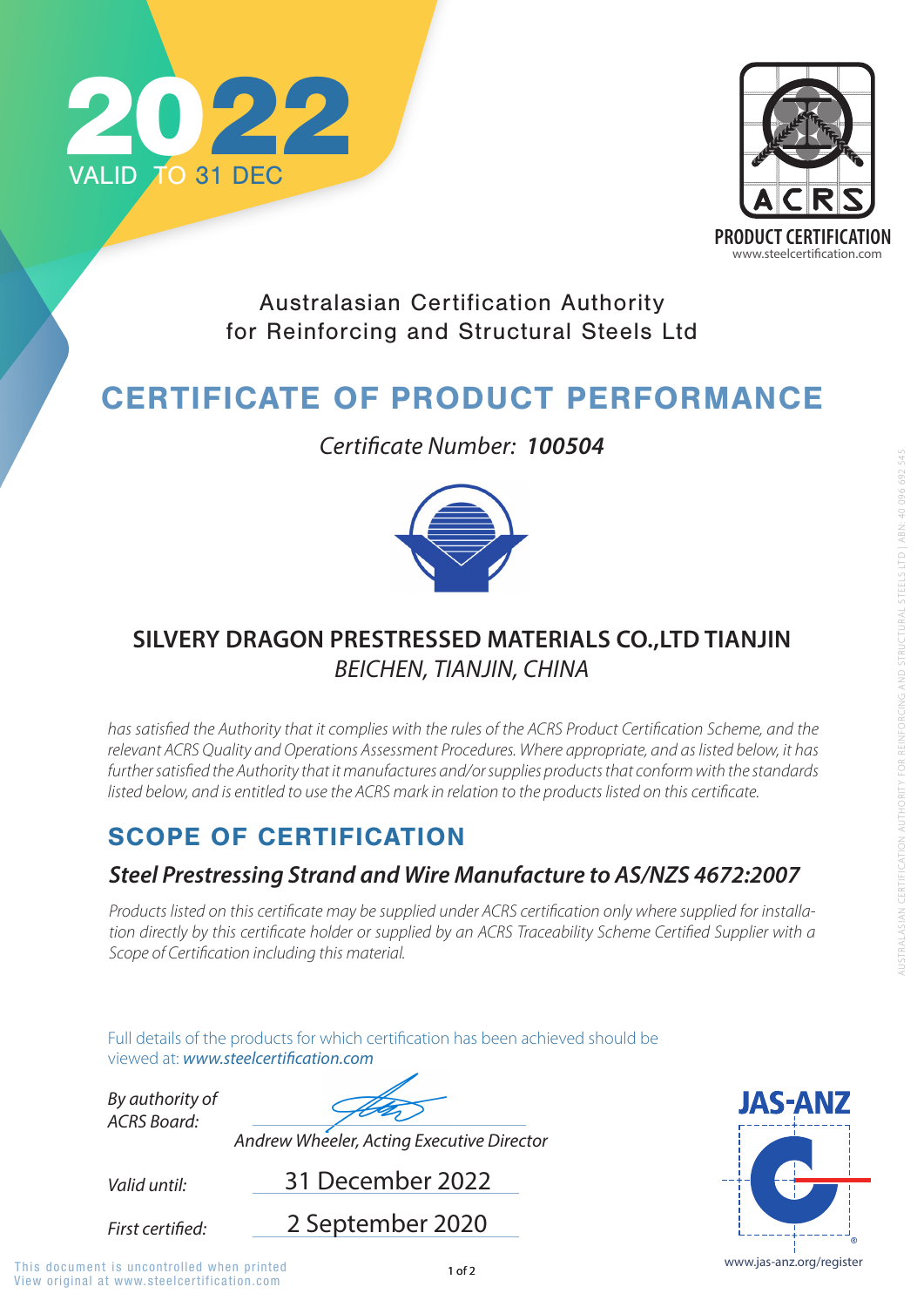

Full details of the products for which certification has been achieved should be viewed at: **www.steelcertification.com** 

## SCOPE OF CERTIFICATION

*Valid until:*

*By authority of ACRS Board:*

31 December 2022

*Andrew Wheeler, Acting Executive Director*



Australasian Certification Authority for Reinforcing and Structural Steels Ltd

# CERTIFICATE OF PRODUCT PERFORMANCE

#### *Steel Prestressing Strand and Wire Manufacture to AS/NZS 4672:2007*

*Products listed on this certificate may be supplied under ACRS certification only where supplied for installation directly by this certificate holder or supplied by an ACRS Traceability Scheme Certified Supplier with a Scope of Certification including this material.*





*Certificate Number: 100504*



## **SILVERY DRAGON PRESTRESSED MATERIALS CO.,LTD TIANJIN**  *BEICHEN, TIANJIN, CHINA*

*has satisfied the Authority that it complies with the rules of the ACRS Product Certification Scheme, and the relevant ACRS Quality and Operations Assessment Procedures. Where appropriate, and as listed below, it has*  further satisfied the Authority that it manufactures and/or supplies products that conform with the standards *listed below, and is entitled to use the ACRS mark in relation to the products listed on this certificate.* 

2 September 2020

First certified:

View original at www.steelcertification.com This document is uncontrolled when printed and the state of  $1$  of 2 www.jas-anz.org/register